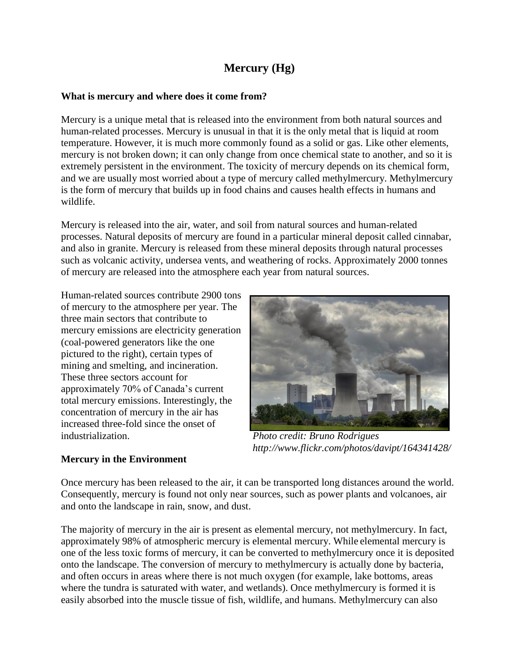## **Mercury (Hg)**

## **What is mercury and where does it come from?**

Mercury is a unique metal that is released into the environment from both natural sources and human-related processes. Mercury is unusual in that it is the only metal that is liquid at room temperature. However, it is much more commonly found as a solid or gas. Like other elements, mercury is not broken down; it can only change from once chemical state to another, and so it is extremely persistent in the environment. The toxicity of mercury depends on its chemical form, and we are usually most worried about a type of mercury called methylmercury. Methylmercury is the form of mercury that builds up in food chains and causes health effects in humans and wildlife.

Mercury is released into the air, water, and soil from natural sources and human-related processes. Natural deposits of mercury are found in a particular mineral deposit called cinnabar, and also in granite. Mercury is released from these mineral deposits through natural processes such as volcanic activity, undersea vents, and weathering of rocks. Approximately 2000 tonnes of mercury are released into the atmosphere each year from natural sources.

Human-related sources contribute 2900 tons of mercury to the atmosphere per year. The three main sectors that contribute to mercury emissions are electricity generation (coal-powered generators like the one pictured to the right), certain types of mining and smelting, and incineration. These three sectors account for approximately 70% of Canada's current total mercury emissions. Interestingly, the concentration of mercury in the air has increased three-fold since the onset of industrialization.



*Photo credit: Bruno Rodrigues http://www.flickr.com/photos/davipt/164341428/*

## **Mercury in the Environment**

Once mercury has been released to the air, it can be transported long distances around the world. Consequently, mercury is found not only near sources, such as power plants and volcanoes, air and onto the landscape in rain, snow, and dust.

The majority of mercury in the air is present as elemental mercury, not methylmercury. In fact, approximately 98% of atmospheric mercury is elemental mercury. While elemental mercury is one of the less toxic forms of mercury, it can be converted to methylmercury once it is deposited onto the landscape. The conversion of mercury to methylmercury is actually done by bacteria, and often occurs in areas where there is not much oxygen (for example, lake bottoms, areas where the tundra is saturated with water, and wetlands). Once methylmercury is formed it is easily absorbed into the muscle tissue of fish, wildlife, and humans. Methylmercury can also